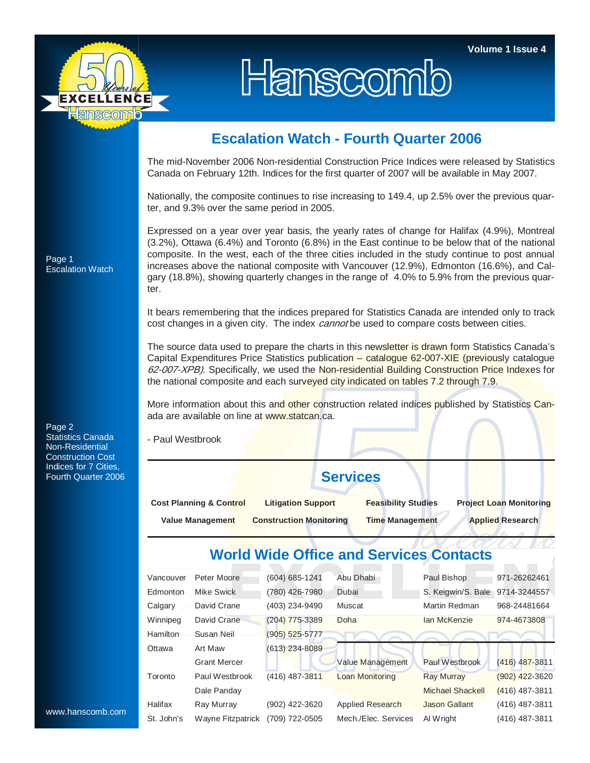

## Hanscomb

## **Escalation Watch - Fourth Quarter 2006**

The mid-November 2006 Non-residential Construction Price Indices were released by Statistics Canada on February 12th. Indices for the first quarter of 2007 will be available in May 2007.

Nationally, the composite continues to rise increasing to 149.4, up 2.5% over the previous quarter, and 9.3% over the same period in 2005.

Expressed on a year over year basis, the yearly rates of change for Halifax (4.9%), Montreal (3.2%), Ottawa (6.4%) and Toronto (6.8%) in the East continue to be below that of the national composite. In the west, each of the three cities included in the study continue to post annual increases above the national composite with Vancouver (12.9%), Edmonton (16.6%), and Calgary (18.8%), showing quarterly changes in the range of 4.0% to 5.9% from the previous quarter.

It bears remembering that the indices prepared for Statistics Canada are intended only to track cost changes in a given city. The index *cannot* be used to compare costs between cities.

The source data used to prepare the charts in this newsletter is drawn form Statistics Canada's Capital Expenditures Price Statistics publication – catalogue 62-007-XIE (previously catalogue 62-007-XPB). Specifically, we used the Non-residential Building Construction Price Indexes for the national composite and each surveyed city indicated on tables 7.2 through 7.9.

More information about this and other construction related indices published by Statistics Canada are available on line at www.statcan.ca.

- Paul Westbrook

**Services** 

| <b>Cost Planning &amp; Control</b> | <b>Litigation Support</b>      | <b>Feasibility Studies</b> | <b>Project Loan Monitoring</b> |
|------------------------------------|--------------------------------|----------------------------|--------------------------------|
| Value Management                   | <b>Construction Monitoring</b> | Time Management            | <b>Applied Research</b>        |

## **World Wide Office and Services Contacts**

| Vancouver  | Peter Moore         | (604) 685-1241   | Abu Dhabi               | Paul Bishop             | 971-26262461     |
|------------|---------------------|------------------|-------------------------|-------------------------|------------------|
| Edmonton   | Mike Swick          | (780) 426-7980   | Dubai                   | S. Keigwin/S. Bale      | 9714-3244557     |
| Calgary    | David Crane         | (403) 234-9490   | Muscat                  | Martin Redman           | 968-24481664     |
| Winnipeg   | David Crane         | $(204)$ 775-3389 | Doha                    | Ian McKenzie            | 974-4673808      |
| Hamilton   | Susan Neil          | $(905)$ 525-5777 |                         |                         |                  |
| Ottawa     | Art Maw             | $(613)$ 234-8089 |                         |                         |                  |
|            | <b>Grant Mercer</b> |                  | Value Management        | Paul Westbrook          | $(416)$ 487-3811 |
| Toronto    | Paul Westbrook      | $(416)$ 487-3811 | <b>Loan Monitoring</b>  | <b>Ray Murray</b>       | $(902)$ 422-3620 |
|            | Dale Panday         |                  |                         | <b>Michael Shackell</b> | $(416)$ 487-3811 |
| Halifax    | Ray Murray          | (902) 422-3620   | <b>Applied Research</b> | <b>Jason Gallant</b>    | $(416)$ 487-3811 |
| St. John's | Wayne Fitzpatrick   | (709) 722-0505   | Mech./Elec. Services    | Al Wright               | $(416)$ 487-3811 |
|            |                     |                  |                         |                         |                  |

Page 1 Escalation Watch

Page 2 Statistics Canada Non-Residential Construction Cost Indices for 7 Cities, Fourth Quarter 2006